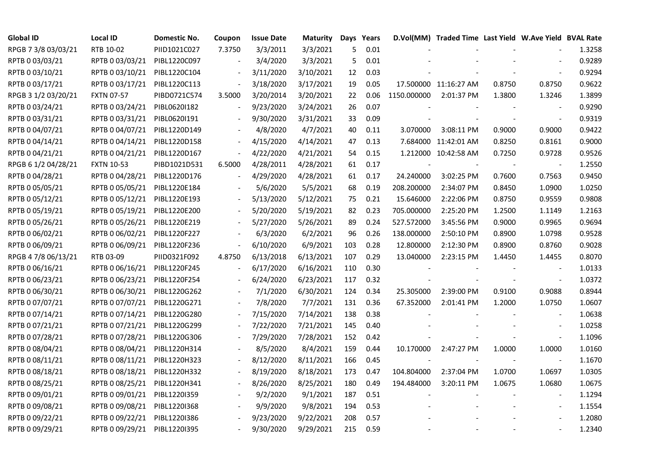| <b>Global ID</b>    | Local ID                     | Domestic No. | Coupon                   | <b>Issue Date</b> | <b>Maturity</b> | Days | Years |             | D.Vol(MM) Traded Time Last Yield W.Ave Yield BVAL Rate |        |                          |        |
|---------------------|------------------------------|--------------|--------------------------|-------------------|-----------------|------|-------|-------------|--------------------------------------------------------|--------|--------------------------|--------|
| RPGB 7 3/8 03/03/21 | RTB 10-02                    | PIID1021C027 | 7.3750                   | 3/3/2011          | 3/3/2021        | 5    | 0.01  |             |                                                        |        |                          | 1.3258 |
| RPTB 0 03/03/21     | RPTB 0 03/03/21              | PIBL1220C097 |                          | 3/4/2020          | 3/3/2021        | 5    | 0.01  |             |                                                        |        |                          | 0.9289 |
| RPTB 0 03/10/21     | RPTB 0 03/10/21              | PIBL1220C104 |                          | 3/11/2020         | 3/10/2021       | 12   | 0.03  |             |                                                        |        |                          | 0.9294 |
| RPTB 0 03/17/21     | RPTB 0 03/17/21              | PIBL1220C113 |                          | 3/18/2020         | 3/17/2021       | 19   | 0.05  |             | 17.500000 11:16:27 AM                                  | 0.8750 | 0.8750                   | 0.9622 |
| RPGB 3 1/2 03/20/21 | <b>FXTN 07-57</b>            | PIBD0721C574 | 3.5000                   | 3/20/2014         | 3/20/2021       | 22   | 0.06  | 1150.000000 | 2:01:37 PM                                             | 1.3800 | 1.3246                   | 1.3899 |
| RPTB 0 03/24/21     | RPTB 0 03/24/21              | PIBL0620I182 |                          | 9/23/2020         | 3/24/2021       | 26   | 0.07  |             |                                                        |        |                          | 0.9290 |
| RPTB 0 03/31/21     | RPTB 0 03/31/21              | PIBL06201191 |                          | 9/30/2020         | 3/31/2021       | 33   | 0.09  |             |                                                        |        | $\blacksquare$           | 0.9319 |
| RPTB 0 04/07/21     | RPTB 0 04/07/21              | PIBL1220D149 |                          | 4/8/2020          | 4/7/2021        | 40   | 0.11  | 3.070000    | 3:08:11 PM                                             | 0.9000 | 0.9000                   | 0.9422 |
| RPTB 0 04/14/21     | RPTB 0 04/14/21              | PIBL1220D158 |                          | 4/15/2020         | 4/14/2021       | 47   | 0.13  |             | 7.684000 11:42:01 AM                                   | 0.8250 | 0.8161                   | 0.9000 |
| RPTB 0 04/21/21     | RPTB 0 04/21/21              | PIBL1220D167 | $\overline{\phantom{a}}$ | 4/22/2020         | 4/21/2021       | 54   | 0.15  |             | 1.212000 10:42:58 AM                                   | 0.7250 | 0.9728                   | 0.9526 |
| RPGB 6 1/2 04/28/21 | <b>FXTN 10-53</b>            | PIBD1021D531 | 6.5000                   | 4/28/2011         | 4/28/2021       | 61   | 0.17  |             |                                                        |        | $\overline{\phantom{a}}$ | 1.2550 |
| RPTB 0 04/28/21     | RPTB 0 04/28/21              | PIBL1220D176 |                          | 4/29/2020         | 4/28/2021       | 61   | 0.17  | 24.240000   | 3:02:25 PM                                             | 0.7600 | 0.7563                   | 0.9450 |
| RPTB 0 05/05/21     | RPTB 0 05/05/21              | PIBL1220E184 |                          | 5/6/2020          | 5/5/2021        | 68   | 0.19  | 208.200000  | 2:34:07 PM                                             | 0.8450 | 1.0900                   | 1.0250 |
| RPTB 0 05/12/21     | RPTB 0 05/12/21 PIBL1220E193 |              |                          | 5/13/2020         | 5/12/2021       | 75   | 0.21  | 15.646000   | 2:22:06 PM                                             | 0.8750 | 0.9559                   | 0.9808 |
| RPTB 0 05/19/21     | RPTB 0 05/19/21              | PIBL1220E200 |                          | 5/20/2020         | 5/19/2021       | 82   | 0.23  | 705.000000  | 2:25:20 PM                                             | 1.2500 | 1.1149                   | 1.2163 |
| RPTB 0 05/26/21     | RPTB 0 05/26/21              | PIBL1220E219 |                          | 5/27/2020         | 5/26/2021       | 89   | 0.24  | 527.572000  | 3:45:56 PM                                             | 0.9000 | 0.9965                   | 0.9694 |
| RPTB 0 06/02/21     | RPTB 0 06/02/21              | PIBL1220F227 |                          | 6/3/2020          | 6/2/2021        | 96   | 0.26  | 138.000000  | 2:50:10 PM                                             | 0.8900 | 1.0798                   | 0.9528 |
| RPTB 0 06/09/21     | RPTB 0 06/09/21              | PIBL1220F236 | $\overline{\phantom{a}}$ | 6/10/2020         | 6/9/2021        | 103  | 0.28  | 12.800000   | 2:12:30 PM                                             | 0.8900 | 0.8760                   | 0.9028 |
| RPGB 4 7/8 06/13/21 | RTB 03-09                    | PIID0321F092 | 4.8750                   | 6/13/2018         | 6/13/2021       | 107  | 0.29  | 13.040000   | 2:23:15 PM                                             | 1.4450 | 1.4455                   | 0.8070 |
| RPTB 0 06/16/21     | RPTB 0 06/16/21              | PIBL1220F245 |                          | 6/17/2020         | 6/16/2021       | 110  | 0.30  |             |                                                        |        | $\blacksquare$           | 1.0133 |
| RPTB 0 06/23/21     | RPTB 0 06/23/21              | PIBL1220F254 |                          | 6/24/2020         | 6/23/2021       | 117  | 0.32  |             |                                                        |        | $\blacksquare$           | 1.0372 |
| RPTB 0 06/30/21     | RPTB 0 06/30/21              | PIBL1220G262 |                          | 7/1/2020          | 6/30/2021       | 124  | 0.34  | 25.305000   | 2:39:00 PM                                             | 0.9100 | 0.9088                   | 0.8944 |
| RPTB 0 07/07/21     | RPTB 0 07/07/21              | PIBL1220G271 |                          | 7/8/2020          | 7/7/2021        | 131  | 0.36  | 67.352000   | 2:01:41 PM                                             | 1.2000 | 1.0750                   | 1.0607 |
| RPTB 0 07/14/21     | RPTB 0 07/14/21              | PIBL1220G280 |                          | 7/15/2020         | 7/14/2021       | 138  | 0.38  |             |                                                        |        |                          | 1.0638 |
| RPTB 0 07/21/21     | RPTB 0 07/21/21              | PIBL1220G299 | $\overline{a}$           | 7/22/2020         | 7/21/2021       | 145  | 0.40  |             |                                                        |        | $\overline{\phantom{a}}$ | 1.0258 |
| RPTB 0 07/28/21     | RPTB 0 07/28/21              | PIBL1220G306 |                          | 7/29/2020         | 7/28/2021       | 152  | 0.42  |             |                                                        |        | $\blacksquare$           | 1.1096 |
| RPTB 0 08/04/21     | RPTB 0 08/04/21              | PIBL1220H314 |                          | 8/5/2020          | 8/4/2021        | 159  | 0.44  | 10.170000   | 2:47:27 PM                                             | 1.0000 | 1.0000                   | 1.0160 |
| RPTB 0 08/11/21     | RPTB 0 08/11/21              | PIBL1220H323 |                          | 8/12/2020         | 8/11/2021       | 166  | 0.45  |             |                                                        |        | $\blacksquare$           | 1.1670 |
| RPTB 0 08/18/21     | RPTB 0 08/18/21              | PIBL1220H332 |                          | 8/19/2020         | 8/18/2021       | 173  | 0.47  | 104.804000  | 2:37:04 PM                                             | 1.0700 | 1.0697                   | 1.0305 |
| RPTB 0 08/25/21     | RPTB 0 08/25/21              | PIBL1220H341 |                          | 8/26/2020         | 8/25/2021       | 180  | 0.49  | 194.484000  | 3:20:11 PM                                             | 1.0675 | 1.0680                   | 1.0675 |
| RPTB 0 09/01/21     | RPTB 0 09/01/21              | PIBL1220I359 |                          | 9/2/2020          | 9/1/2021        | 187  | 0.51  |             |                                                        |        |                          | 1.1294 |
| RPTB 0 09/08/21     | RPTB 0 09/08/21              | PIBL1220I368 |                          | 9/9/2020          | 9/8/2021        | 194  | 0.53  |             |                                                        |        | $\overline{\phantom{a}}$ | 1.1554 |
| RPTB 0 09/22/21     | RPTB 0 09/22/21              | PIBL1220I386 |                          | 9/23/2020         | 9/22/2021       | 208  | 0.57  |             |                                                        |        |                          | 1.2080 |
| RPTB 0 09/29/21     | RPTB 0 09/29/21 PIBL1220I395 |              |                          | 9/30/2020         | 9/29/2021       | 215  | 0.59  |             |                                                        |        |                          | 1.2340 |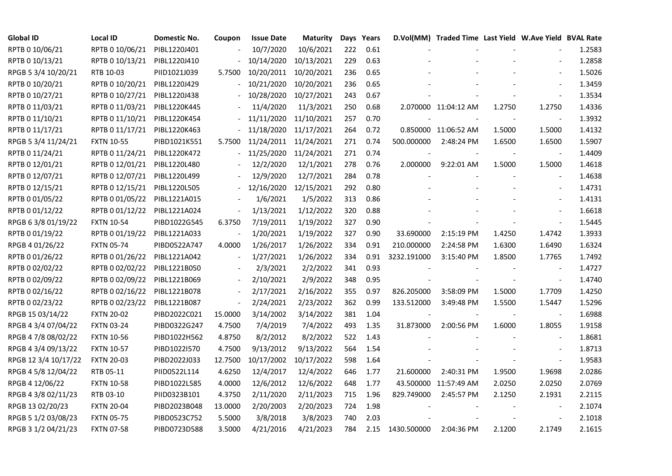| <b>Global ID</b>     | <b>Local ID</b>   | Domestic No. | Coupon         | <b>Issue Date</b>     | <b>Maturity</b> |     | Days Years |             | D.Vol(MM) Traded Time Last Yield W.Ave Yield BVAL Rate |        |                          |        |
|----------------------|-------------------|--------------|----------------|-----------------------|-----------------|-----|------------|-------------|--------------------------------------------------------|--------|--------------------------|--------|
| RPTB 0 10/06/21      | RPTB 0 10/06/21   | PIBL1220J401 |                | 10/7/2020             | 10/6/2021       | 222 | 0.61       |             |                                                        |        |                          | 1.2583 |
| RPTB 0 10/13/21      | RPTB 0 10/13/21   | PIBL1220J410 |                | 10/14/2020            | 10/13/2021      | 229 | 0.63       |             |                                                        |        |                          | 1.2858 |
| RPGB 5 3/4 10/20/21  | RTB 10-03         | PIID1021J039 | 5.7500         | 10/20/2011 10/20/2021 |                 | 236 | 0.65       |             |                                                        |        |                          | 1.5026 |
| RPTB 0 10/20/21      | RPTB 0 10/20/21   | PIBL1220J429 |                | 10/21/2020            | 10/20/2021      | 236 | 0.65       |             |                                                        |        |                          | 1.3459 |
| RPTB 0 10/27/21      | RPTB 0 10/27/21   | PIBL1220J438 |                | 10/28/2020            | 10/27/2021      | 243 | 0.67       |             |                                                        |        | $\blacksquare$           | 1.3534 |
| RPTB 0 11/03/21      | RPTB 0 11/03/21   | PIBL1220K445 |                | 11/4/2020             | 11/3/2021       | 250 | 0.68       |             | 2.070000 11:04:12 AM                                   | 1.2750 | 1.2750                   | 1.4336 |
| RPTB 0 11/10/21      | RPTB 0 11/10/21   | PIBL1220K454 |                | 11/11/2020            | 11/10/2021      | 257 | 0.70       |             |                                                        |        | $\blacksquare$           | 1.3932 |
| RPTB 0 11/17/21      | RPTB 0 11/17/21   | PIBL1220K463 |                | 11/18/2020 11/17/2021 |                 | 264 | 0.72       |             | 0.850000 11:06:52 AM                                   | 1.5000 | 1.5000                   | 1.4132 |
| RPGB 5 3/4 11/24/21  | <b>FXTN 10-55</b> | PIBD1021K551 | 5.7500         | 11/24/2011 11/24/2021 |                 | 271 | 0.74       | 500.000000  | 2:48:24 PM                                             | 1.6500 | 1.6500                   | 1.5907 |
| RPTB 0 11/24/21      | RPTB 0 11/24/21   | PIBL1220K472 |                | 11/25/2020            | 11/24/2021      | 271 | 0.74       |             |                                                        |        |                          | 1.4409 |
| RPTB 0 12/01/21      | RPTB 0 12/01/21   | PIBL1220L480 |                | 12/2/2020             | 12/1/2021       | 278 | 0.76       | 2.000000    | 9:22:01 AM                                             | 1.5000 | 1.5000                   | 1.4618 |
| RPTB 0 12/07/21      | RPTB 0 12/07/21   | PIBL1220L499 |                | 12/9/2020             | 12/7/2021       | 284 | 0.78       |             |                                                        |        | $\overline{\phantom{a}}$ | 1.4638 |
| RPTB 0 12/15/21      | RPTB 0 12/15/21   | PIBL1220L505 |                | 12/16/2020            | 12/15/2021      | 292 | 0.80       |             |                                                        |        | $\blacksquare$           | 1.4731 |
| RPTB 0 01/05/22      | RPTB 0 01/05/22   | PIBL1221A015 |                | 1/6/2021              | 1/5/2022        | 313 | 0.86       |             |                                                        |        | $\overline{\phantom{a}}$ | 1.4131 |
| RPTB 0 01/12/22      | RPTB 0 01/12/22   | PIBL1221A024 |                | 1/13/2021             | 1/12/2022       | 320 | 0.88       |             |                                                        |        | $\sim$                   | 1.6618 |
| RPGB 63/8 01/19/22   | <b>FXTN 10-54</b> | PIBD1022G545 | 6.3750         | 7/19/2011             | 1/19/2022       | 327 | 0.90       |             |                                                        |        | $\blacksquare$           | 1.5445 |
| RPTB 0 01/19/22      | RPTB 0 01/19/22   | PIBL1221A033 |                | 1/20/2021             | 1/19/2022       | 327 | 0.90       | 33.690000   | 2:15:19 PM                                             | 1.4250 | 1.4742                   | 1.3933 |
| RPGB 4 01/26/22      | <b>FXTN 05-74</b> | PIBD0522A747 | 4.0000         | 1/26/2017             | 1/26/2022       | 334 | 0.91       | 210.000000  | 2:24:58 PM                                             | 1.6300 | 1.6490                   | 1.6324 |
| RPTB 0 01/26/22      | RPTB 0 01/26/22   | PIBL1221A042 | $\blacksquare$ | 1/27/2021             | 1/26/2022       | 334 | 0.91       | 3232.191000 | 3:15:40 PM                                             | 1.8500 | 1.7765                   | 1.7492 |
| RPTB 0 02/02/22      | RPTB 0 02/02/22   | PIBL1221B050 |                | 2/3/2021              | 2/2/2022        | 341 | 0.93       |             |                                                        |        | $\overline{\phantom{a}}$ | 1.4727 |
| RPTB 0 02/09/22      | RPTB 0 02/09/22   | PIBL1221B069 |                | 2/10/2021             | 2/9/2022        | 348 | 0.95       |             |                                                        |        | $\blacksquare$           | 1.4740 |
| RPTB 0 02/16/22      | RPTB 0 02/16/22   | PIBL1221B078 |                | 2/17/2021             | 2/16/2022       | 355 | 0.97       | 826.205000  | 3:58:09 PM                                             | 1.5000 | 1.7709                   | 1.4250 |
| RPTB 0 02/23/22      | RPTB 0 02/23/22   | PIBL1221B087 | $\blacksquare$ | 2/24/2021             | 2/23/2022       | 362 | 0.99       | 133.512000  | 3:49:48 PM                                             | 1.5500 | 1.5447                   | 1.5296 |
| RPGB 15 03/14/22     | <b>FXTN 20-02</b> | PIBD2022C021 | 15.0000        | 3/14/2002             | 3/14/2022       | 381 | 1.04       |             |                                                        |        |                          | 1.6988 |
| RPGB 4 3/4 07/04/22  | <b>FXTN 03-24</b> | PIBD0322G247 | 4.7500         | 7/4/2019              | 7/4/2022        | 493 | 1.35       | 31.873000   | 2:00:56 PM                                             | 1.6000 | 1.8055                   | 1.9158 |
| RPGB 4 7/8 08/02/22  | <b>FXTN 10-56</b> | PIBD1022H562 | 4.8750         | 8/2/2012              | 8/2/2022        | 522 | 1.43       |             |                                                        |        |                          | 1.8681 |
| RPGB 4 3/4 09/13/22  | <b>FXTN 10-57</b> | PIBD1022I570 | 4.7500         | 9/13/2012             | 9/13/2022       | 564 | 1.54       |             |                                                        |        | $\sim$                   | 1.8713 |
| RPGB 12 3/4 10/17/22 | <b>FXTN 20-03</b> | PIBD2022J033 | 12.7500        | 10/17/2002 10/17/2022 |                 | 598 | 1.64       |             |                                                        |        | $\overline{\phantom{a}}$ | 1.9583 |
| RPGB 4 5/8 12/04/22  | RTB 05-11         | PIID0522L114 | 4.6250         | 12/4/2017             | 12/4/2022       | 646 | 1.77       | 21.600000   | 2:40:31 PM                                             | 1.9500 | 1.9698                   | 2.0286 |
| RPGB 4 12/06/22      | <b>FXTN 10-58</b> | PIBD1022L585 | 4.0000         | 12/6/2012             | 12/6/2022       | 648 | 1.77       |             | 43.500000 11:57:49 AM                                  | 2.0250 | 2.0250                   | 2.0769 |
| RPGB 4 3/8 02/11/23  | RTB 03-10         | PIID0323B101 | 4.3750         | 2/11/2020             | 2/11/2023       | 715 | 1.96       | 829.749000  | 2:45:57 PM                                             | 2.1250 | 2.1931                   | 2.2115 |
| RPGB 13 02/20/23     | <b>FXTN 20-04</b> | PIBD2023B048 | 13.0000        | 2/20/2003             | 2/20/2023       | 724 | 1.98       |             |                                                        |        | $\overline{\phantom{a}}$ | 2.1074 |
| RPGB 5 1/2 03/08/23  | <b>FXTN 05-75</b> | PIBD0523C752 | 5.5000         | 3/8/2018              | 3/8/2023        | 740 | 2.03       |             |                                                        |        |                          | 2.1018 |
| RPGB 3 1/2 04/21/23  | <b>FXTN 07-58</b> | PIBD0723D588 | 3.5000         | 4/21/2016             | 4/21/2023       | 784 | 2.15       | 1430.500000 | 2:04:36 PM                                             | 2.1200 | 2.1749                   | 2.1615 |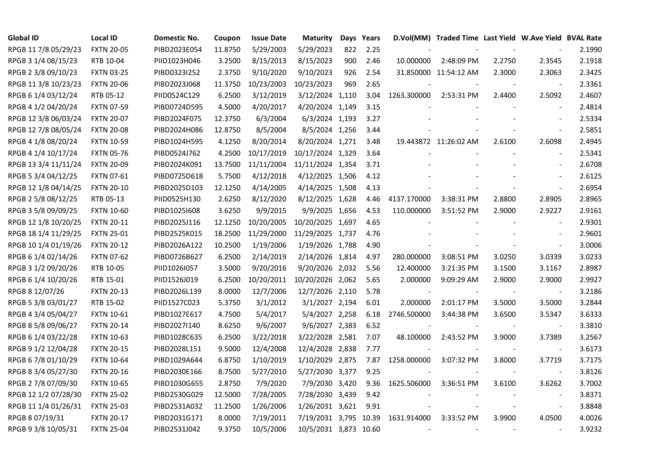| <b>Global ID</b>     | <b>Local ID</b>   | Domestic No. | Coupon  | <b>Issue Date</b> | <b>Maturity</b>       |     | Days Years |             | D.Vol(MM) Traded Time Last Yield W.Ave Yield BVAL Rate |        |                          |        |
|----------------------|-------------------|--------------|---------|-------------------|-----------------------|-----|------------|-------------|--------------------------------------------------------|--------|--------------------------|--------|
| RPGB 11 7/8 05/29/23 | <b>FXTN 20-05</b> | PIBD2023E054 | 11.8750 | 5/29/2003         | 5/29/2023             | 822 | 2.25       |             |                                                        |        |                          | 2.1990 |
| RPGB 3 1/4 08/15/23  | RTB 10-04         | PIID1023H046 | 3.2500  | 8/15/2013         | 8/15/2023             | 900 | 2.46       | 10.000000   | 2:48:09 PM                                             | 2.2750 | 2.3545                   | 2.1918 |
| RPGB 2 3/8 09/10/23  | <b>FXTN 03-25</b> | PIBD0323I252 | 2.3750  | 9/10/2020         | 9/10/2023             | 926 | 2.54       |             | 31.850000 11:54:12 AM                                  | 2.3000 | 2.3063                   | 2.3425 |
| RPGB 11 3/8 10/23/23 | <b>FXTN 20-06</b> | PIBD2023J068 | 11.3750 | 10/23/2003        | 10/23/2023            | 969 | 2.65       |             |                                                        |        | $\overline{\phantom{a}}$ | 2.3361 |
| RPGB 6 1/4 03/12/24  | RTB 05-12         | PIID0524C129 | 6.2500  | 3/12/2019         | 3/12/2024 1,110       |     | 3.04       | 1263.300000 | 2:53:31 PM                                             | 2.4400 | 2.5092                   | 2.4607 |
| RPGB 4 1/2 04/20/24  | <b>FXTN 07-59</b> | PIBD0724D595 | 4.5000  | 4/20/2017         | 4/20/2024 1,149       |     | 3.15       |             |                                                        |        | $\blacksquare$           | 2.4814 |
| RPGB 12 3/8 06/03/24 | <b>FXTN 20-07</b> | PIBD2024F075 | 12.3750 | 6/3/2004          | 6/3/2024 1,193        |     | 3.27       |             |                                                        |        | $\overline{\phantom{a}}$ | 2.5334 |
| RPGB 12 7/8 08/05/24 | <b>FXTN 20-08</b> | PIBD2024H086 | 12.8750 | 8/5/2004          | 8/5/2024 1,256        |     | 3.44       |             |                                                        |        | $\overline{\phantom{a}}$ | 2.5851 |
| RPGB 4 1/8 08/20/24  | <b>FXTN 10-59</b> | PIBD1024H595 | 4.1250  | 8/20/2014         | 8/20/2024 1,271       |     | 3.48       |             | 19.443872 11:26:02 AM                                  | 2.6100 | 2.6098                   | 2.4945 |
| RPGB 4 1/4 10/17/24  | <b>FXTN 05-76</b> | PIBD0524J762 | 4.2500  | 10/17/2019        | 10/17/2024 1,329      |     | 3.64       |             |                                                        |        | $\overline{\phantom{a}}$ | 2.5341 |
| RPGB 13 3/4 11/11/24 | <b>FXTN 20-09</b> | PIBD2024K091 | 13.7500 | 11/11/2004        | 11/11/2024 1,354      |     | 3.71       |             |                                                        |        | $\blacksquare$           | 2.6708 |
| RPGB 5 3/4 04/12/25  | <b>FXTN 07-61</b> | PIBD0725D618 | 5.7500  | 4/12/2018         | 4/12/2025 1,506       |     | 4.12       |             |                                                        |        | $\sim$                   | 2.6125 |
| RPGB 12 1/8 04/14/25 | <b>FXTN 20-10</b> | PIBD2025D103 | 12.1250 | 4/14/2005         | 4/14/2025 1,508       |     | 4.13       |             |                                                        |        | $\blacksquare$           | 2.6954 |
| RPGB 2 5/8 08/12/25  | RTB 05-13         | PIID0525H130 | 2.6250  | 8/12/2020         | 8/12/2025 1,628       |     | 4.46       | 4137.170000 | 3:38:31 PM                                             | 2.8800 | 2.8905                   | 2.8965 |
| RPGB 3 5/8 09/09/25  | <b>FXTN 10-60</b> | PIBD10251608 | 3.6250  | 9/9/2015          | 9/9/2025 1,656        |     | 4.53       | 110.000000  | 3:51:52 PM                                             | 2.9000 | 2.9227                   | 2.9161 |
| RPGB 12 1/8 10/20/25 | <b>FXTN 20-11</b> | PIBD2025J116 | 12.1250 | 10/20/2005        | 10/20/2025 1,697      |     | 4.65       |             |                                                        |        |                          | 2.9301 |
| RPGB 18 1/4 11/29/25 | <b>FXTN 25-01</b> | PIBD2525K015 | 18.2500 | 11/29/2000        | 11/29/2025 1,737      |     | 4.76       |             |                                                        |        | $\overline{\phantom{a}}$ | 2.9601 |
| RPGB 10 1/4 01/19/26 | <b>FXTN 20-12</b> | PIBD2026A122 | 10.2500 | 1/19/2006         | 1/19/2026 1,788       |     | 4.90       |             |                                                        |        | $\overline{\phantom{a}}$ | 3.0006 |
| RPGB 6 1/4 02/14/26  | <b>FXTN 07-62</b> | PIBD0726B627 | 6.2500  | 2/14/2019         | 2/14/2026 1,814       |     | 4.97       | 280.000000  | 3:08:51 PM                                             | 3.0250 | 3.0339                   | 3.0233 |
| RPGB 3 1/2 09/20/26  | RTB 10-05         | PIID1026I057 | 3.5000  | 9/20/2016         | 9/20/2026 2,032       |     | 5.56       | 12.400000   | 3:21:35 PM                                             | 3.1500 | 3.1167                   | 2.8987 |
| RPGB 6 1/4 10/20/26  | RTB 15-01         | PIID1526J019 | 6.2500  | 10/20/2011        | 10/20/2026 2,062      |     | 5.65       | 2.000000    | 9:09:29 AM                                             | 2.9000 | 2.9000                   | 2.9927 |
| RPGB 8 12/07/26      | <b>FXTN 20-13</b> | PIBD2026L139 | 8.0000  | 12/7/2006         | 12/7/2026 2,110       |     | 5.78       |             |                                                        |        | $\blacksquare$           | 3.2186 |
| RPGB 5 3/8 03/01/27  | RTB 15-02         | PIID1527C023 | 5.3750  | 3/1/2012          | 3/1/2027 2,194        |     | 6.01       | 2.000000    | 2:01:17 PM                                             | 3.5000 | 3.5000                   | 3.2844 |
| RPGB 4 3/4 05/04/27  | <b>FXTN 10-61</b> | PIBD1027E617 | 4.7500  | 5/4/2017          | 5/4/2027 2,258        |     | 6.18       | 2746.500000 | 3:44:38 PM                                             | 3.6500 | 3.5347                   | 3.6333 |
| RPGB 8 5/8 09/06/27  | <b>FXTN 20-14</b> | PIBD2027I140 | 8.6250  | 9/6/2007          | 9/6/2027 2,383        |     | 6.52       |             |                                                        |        | $\overline{\phantom{a}}$ | 3.3810 |
| RPGB 6 1/4 03/22/28  | <b>FXTN 10-63</b> | PIBD1028C635 | 6.2500  | 3/22/2018         | 3/22/2028 2,581       |     | 7.07       | 48.100000   | 2:43:52 PM                                             | 3.9000 | 3.7389                   | 3.2567 |
| RPGB 9 1/2 12/04/28  | <b>FXTN 20-15</b> | PIBD2028L151 | 9.5000  | 12/4/2008         | 12/4/2028 2,838       |     | 7.77       |             |                                                        |        | $\blacksquare$           | 3.6173 |
| RPGB 6 7/8 01/10/29  | <b>FXTN 10-64</b> | PIBD1029A644 | 6.8750  | 1/10/2019         | 1/10/2029 2,875       |     | 7.87       | 1258.000000 | 3:07:32 PM                                             | 3.8000 | 3.7719                   | 3.7175 |
| RPGB 8 3/4 05/27/30  | <b>FXTN 20-16</b> | PIBD2030E166 | 8.7500  | 5/27/2010         | 5/27/2030 3,377       |     | 9.25       |             |                                                        |        | $\overline{\phantom{a}}$ | 3.8126 |
| RPGB 2 7/8 07/09/30  | <b>FXTN 10-65</b> | PIBD1030G655 | 2.8750  | 7/9/2020          | 7/9/2030 3,420        |     | 9.36       | 1625.506000 | 3:36:51 PM                                             | 3.6100 | 3.6262                   | 3.7002 |
| RPGB 12 1/2 07/28/30 | <b>FXTN 25-02</b> | PIBD2530G029 | 12.5000 | 7/28/2005         | 7/28/2030 3,439       |     | 9.42       |             |                                                        |        | $\overline{\phantom{a}}$ | 3.8371 |
| RPGB 11 1/4 01/26/31 | <b>FXTN 25-03</b> | PIBD2531A032 | 11.2500 | 1/26/2006         | 1/26/2031 3,621       |     | 9.91       |             |                                                        |        | $\overline{\phantom{a}}$ | 3.8848 |
| RPGB 8 07/19/31      | <b>FXTN 20-17</b> | PIBD2031G171 | 8.0000  | 7/19/2011         | 7/19/2031 3,795 10.39 |     |            | 1631.914000 | 3:33:52 PM                                             | 3.9900 | 4.0500                   | 4.0026 |
| RPGB 9 3/8 10/05/31  | <b>FXTN 25-04</b> | PIBD2531J042 | 9.3750  | 10/5/2006         | 10/5/2031 3,873 10.60 |     |            |             |                                                        |        |                          | 3.9232 |